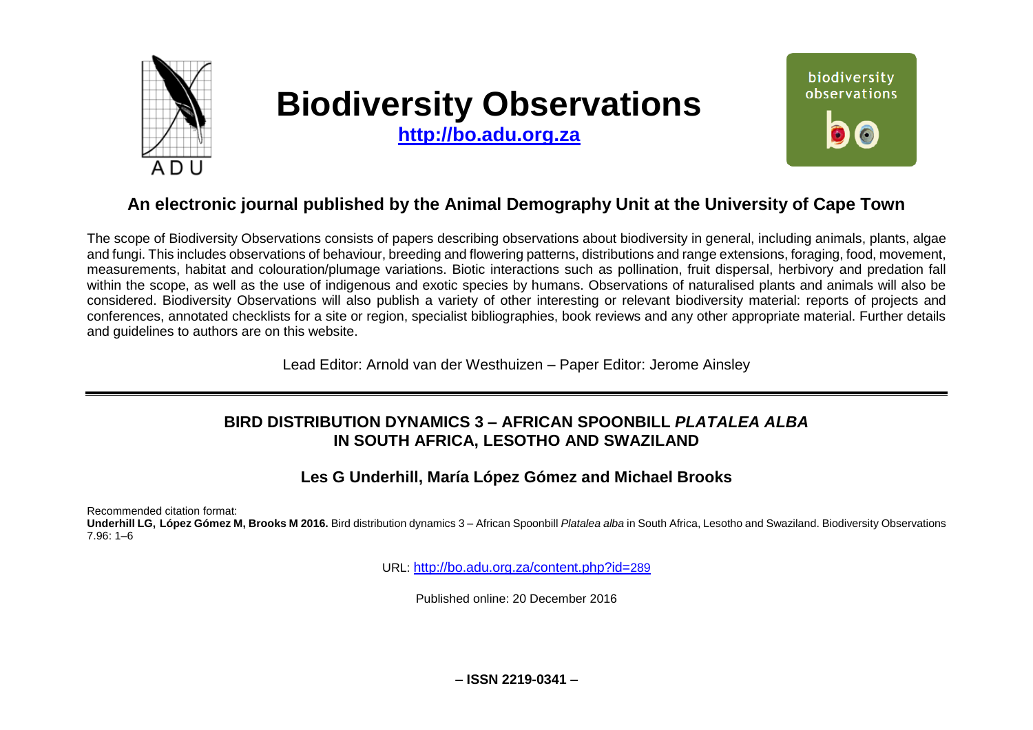

# **Biodiversity Observations**

**[http://bo.adu.org.za](http://bo.adu.org.za/)**



## **An electronic journal published by the Animal Demography Unit at the University of Cape Town**

The scope of Biodiversity Observations consists of papers describing observations about biodiversity in general, including animals, plants, algae and fungi. This includes observations of behaviour, breeding and flowering patterns, distributions and range extensions, foraging, food, movement, measurements, habitat and colouration/plumage variations. Biotic interactions such as pollination, fruit dispersal, herbivory and predation fall within the scope, as well as the use of indigenous and exotic species by humans. Observations of naturalised plants and animals will also be considered. Biodiversity Observations will also publish a variety of other interesting or relevant biodiversity material: reports of projects and conferences, annotated checklists for a site or region, specialist bibliographies, book reviews and any other appropriate material. Further details and guidelines to authors are on this website.

Lead Editor: Arnold van der Westhuizen – Paper Editor: Jerome Ainsley

#### **BIRD DISTRIBUTION DYNAMICS 3 – AFRICAN SPOONBILL** *PLATALEA ALBA*  **IN SOUTH AFRICA, LESOTHO AND SWAZILAND**

## **Les G Underhill, María López Gómez and Michael Brooks**

Recommended citation format:

**Underhill LG, López Gómez M, Brooks M 2016.** Bird distribution dynamics 3 – African Spoonbill *Platalea alba* in South Africa, Lesotho and Swaziland. Biodiversity Observations 7.96: 1–6

URL: [http://bo.adu.org.za/content.php?id=](http://bo.adu.org.za/content.php?id=289)289

Published online: 20 December 2016

**– ISSN 2219-0341 –**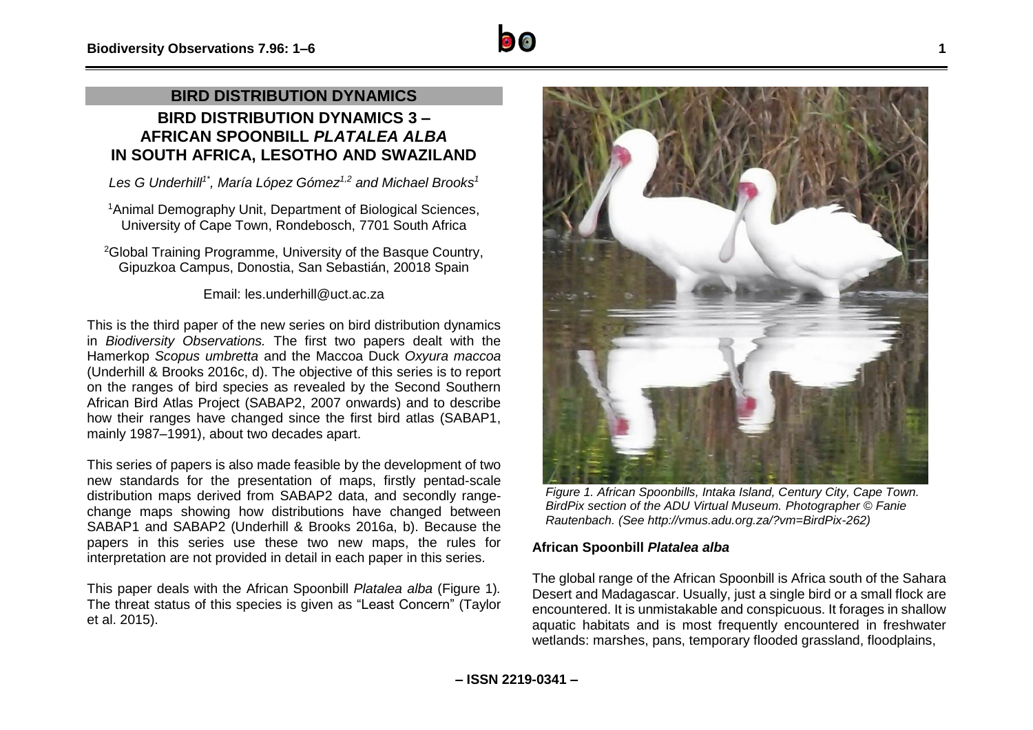## **BIRD DISTRIBUTION DYNAMICS BIRD DISTRIBUTION DYNAMICS 3 – AFRICAN SPOONBILL** *PLATALEA ALBA*  **IN SOUTH AFRICA, LESOTHO AND SWAZILAND**

*Les G Underhill1\* , María López Gómez1,2 and Michael Brooks<sup>1</sup>*

<sup>1</sup>Animal Demography Unit, Department of Biological Sciences, University of Cape Town, Rondebosch, 7701 South Africa

<sup>2</sup>Global Training Programme, University of the Basque Country, Gipuzkoa Campus, Donostia, San Sebastián, 20018 Spain

Email: les.underhill@uct.ac.za

This is the third paper of the new series on bird distribution dynamics in *Biodiversity Observations.* The first two papers dealt with the Hamerkop *Scopus umbretta* and the Maccoa Duck *Oxyura maccoa* (Underhill & Brooks 2016c, d). The objective of this series is to report on the ranges of bird species as revealed by the Second Southern African Bird Atlas Project (SABAP2, 2007 onwards) and to describe how their ranges have changed since the first bird atlas (SABAP1, mainly 1987–1991), about two decades apart.

This series of papers is also made feasible by the development of two new standards for the presentation of maps, firstly pentad-scale distribution maps derived from SABAP2 data, and secondly rangechange maps showing how distributions have changed between SABAP1 and SABAP2 (Underhill & Brooks 2016a, b). Because the papers in this series use these two new maps, the rules for interpretation are not provided in detail in each paper in this series.

This paper deals with the African Spoonbill *Platalea alba* (Figure 1)*.*  The threat status of this species is given as "Least Concern" (Taylor et al. 2015).

*Figure 1. African Spoonbills, Intaka Island, Century City, Cape Town. BirdPix section of the ADU Virtual Museum. Photographer © Fanie Rautenbach. (See http://vmus.adu.org.za/?vm=BirdPix-262)*

#### **African Spoonbill** *Platalea alba*

The global range of the African Spoonbill is Africa south of the Sahara Desert and Madagascar. Usually, just a single bird or a small flock are encountered. It is unmistakable and conspicuous. It forages in shallow aquatic habitats and is most frequently encountered in freshwater wetlands: marshes, pans, temporary flooded grassland, floodplains,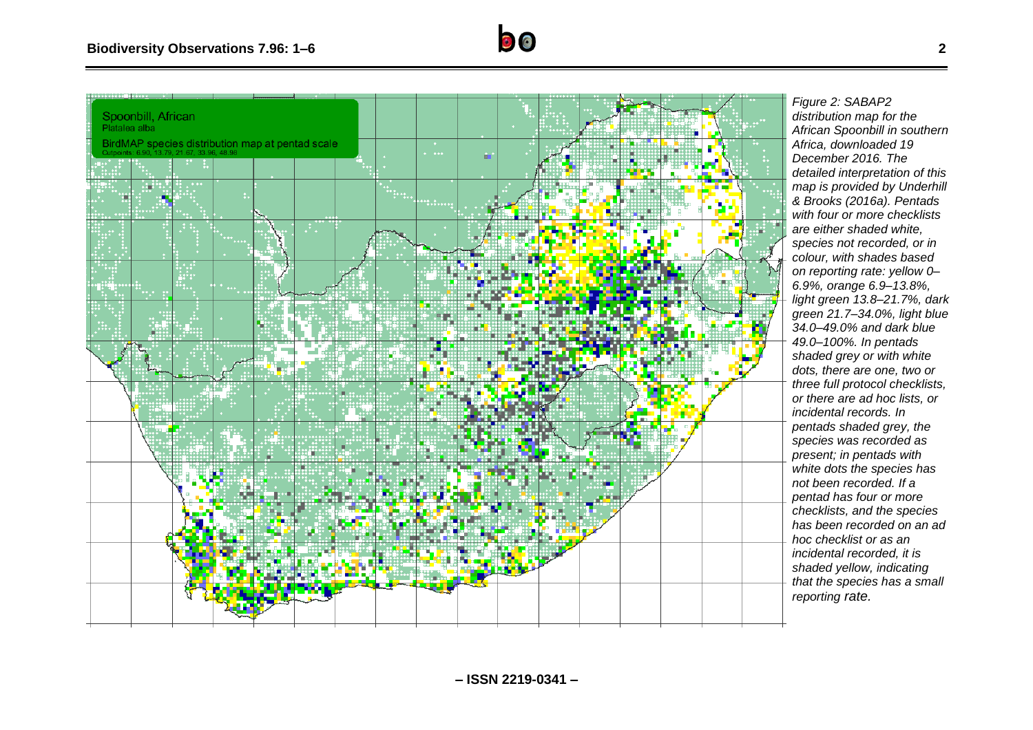

*Figure 2: SABAP2 distribution map for the African Spoonbill in southern Africa, downloaded 19 December 2016. The detailed interpretation of this map is provided by Underhill & Brooks (2016a). Pentads with four or more checklists are either shaded white, species not recorded, or in colour, with shades based on reporting rate: yellow 0– 6.9%, orange 6.9–13.8%, light green 13.8–21.7%, dark green 21.7–34.0%, light blue 34.0–49.0 % and dark blue 49.0–100%. In pentads shaded grey or with white dots, there are one, two or three full protocol checklists, or there are ad hoc lists, or incidental records. In pentads shaded grey, the species was recorded as present; in pentads with white dots the species has not been recorded. If a pentad has four or more checklists, and the species has been recorded on an ad hoc checklist or as an incidental recorded, it is shaded yellow, indicating that the species has a small reporting rate.*

 $\bullet$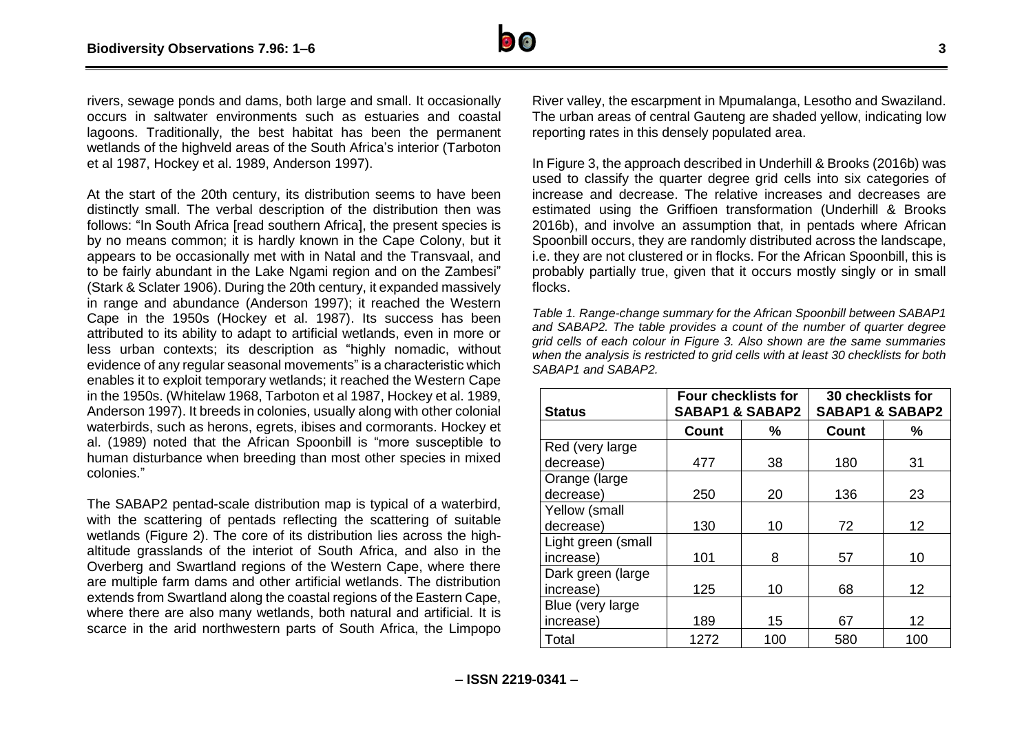

rivers, sewage ponds and dams, both large and small. It occasionally occurs in saltwater environments such as estuaries and coastal lagoons. Traditionally, the best habitat has been the permanent wetlands of the highveld areas of the South Africa's interior (Tarboton et al 1987, Hockey et al. 1989, Anderson 1997).

At the start of the 20th century, its distribution seems to have been distinctly small. The verbal description of the distribution then was follows: "In South Africa [read southern Africa], the present species is by no means common; it is hardly known in the Cape Colony, but it appears to be occasionally met with in Natal and the Transvaal, and to be fairly abundant in the Lake Ngami region and on the Zambesi" (Stark & Sclater 1906). During the 20th century, it expanded massively in range and abundance (Anderson 1997); it reached the Western Cape in the 1950s (Hockey et al. 1987). Its success has been attributed to its ability to adapt to artificial wetlands, even in more or less urban contexts; its description as "highly nomadic, without evidence of any regular seasonal movements" is a characteristic which enables it to exploit temporary wetlands; it reached the Western Cape in the 1950s. (Whitelaw 1968, Tarboton et al 1987, Hockey et al. 1989, Anderson 1997). It breeds in colonies, usually along with other colonial waterbirds, such as herons, egrets, ibises and cormorants. Hockey et al. (1989) noted that the African Spoonbill is "more susceptible to human disturbance when breeding than most other species in mixed colonies."

The SABAP2 pentad-scale distribution map is typical of a waterbird, with the scattering of pentads reflecting the scattering of suitable wetlands (Figure 2). The core of its distribution lies across the highaltitude grasslands of the interiot of South Africa, and also in the Overberg and Swartland regions of the Western Cape, where there are multiple farm dams and other artificial wetlands. The distribution extends from Swartland along the coastal regions of the Eastern Cape, where there are also many wetlands, both natural and artificial. It is scarce in the arid northwestern parts of South Africa, the Limpopo

River valley, the escarpment in Mpumalanga, Lesotho and Swaziland. The urban areas of central Gauteng are shaded yellow, indicating low reporting rates in this densely populated area.

In Figure 3, the approach described in Underhill & Brooks (2016b) was used to classify the quarter degree grid cells into six categories of increase and decrease. The relative increases and decreases are estimated using the Griffioen transformation (Underhill & Brooks 2016b), and involve an assumption that, in pentads where African Spoonbill occurs, they are randomly distributed across the landscape, i.e. they are not clustered or in flocks. For the African Spoonbill, this is probably partially true, given that it occurs mostly singly or in small flocks.

*Table 1. Range-change summary for the African Spoonbill between SABAP1 and SABAP2. The table provides a count of the number of quarter degree grid cells of each colour in Figure 3. Also shown are the same summaries when the analysis is restricted to grid cells with at least 30 checklists for both SABAP1 and SABAP2.*

| <b>Status</b>      | <b>Four checklists for</b><br><b>SABAP1 &amp; SABAP2</b> |     | 30 checklists for<br><b>SABAP1 &amp; SABAP2</b> |     |
|--------------------|----------------------------------------------------------|-----|-------------------------------------------------|-----|
|                    | <b>Count</b>                                             | %   | <b>Count</b>                                    | %   |
| Red (very large)   |                                                          |     |                                                 |     |
| decrease)          | 477                                                      | 38  | 180                                             | 31  |
| Orange (large      |                                                          |     |                                                 |     |
| decrease)          | 250                                                      | 20  | 136                                             | 23  |
| Yellow (small      |                                                          |     |                                                 |     |
| decrease)          | 130                                                      | 10  | 72                                              | 12  |
| Light green (small |                                                          |     |                                                 |     |
| increase)          | 101                                                      | 8   | 57                                              | 10  |
| Dark green (large  |                                                          |     |                                                 |     |
| increase)          | 125                                                      | 10  | 68                                              | 12  |
| Blue (very large)  |                                                          |     |                                                 |     |
| increase)          | 189                                                      | 15  | 67                                              | 12  |
| Total              | 1272                                                     | 100 | 580                                             | 100 |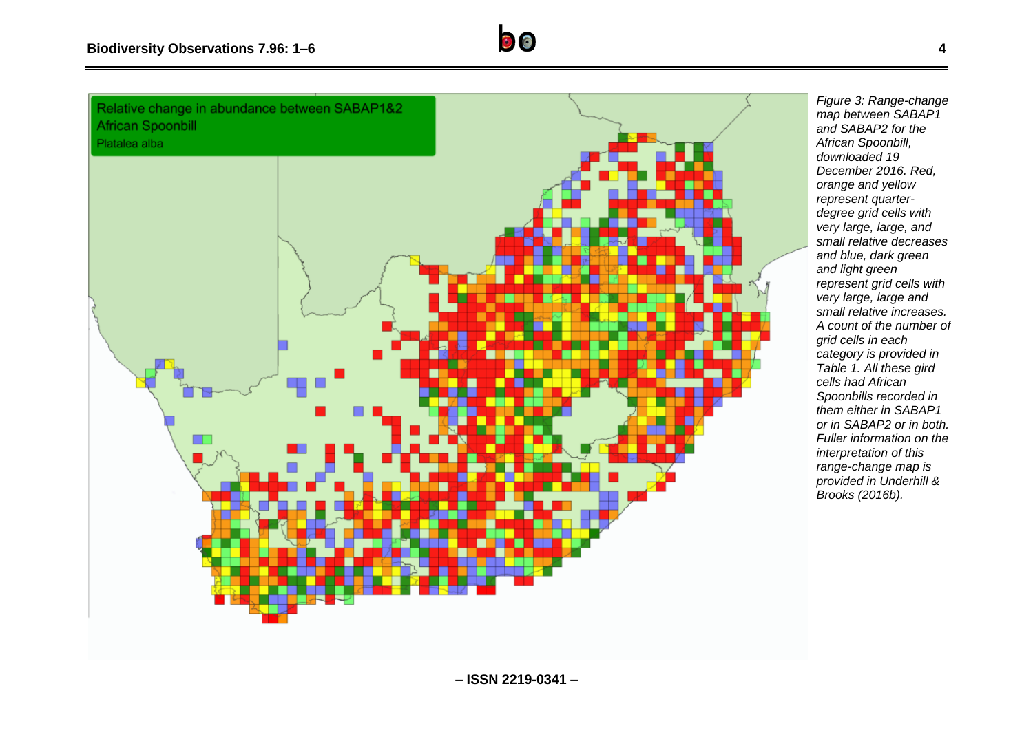

*map between SABAP1 and SABAP2 for the African Spoonbill, downloaded 19 December 2016. Red, orange and yellow represent quarterdegree grid cells with very large, large, and small relative decreases and blue, dark green and light green represent grid cells with very large, large and small relative increases. A count of the number of grid cells in each category is provided in Table 1. All these gird cells had African Spoonbills recorded in them either in SABAP1 or in SABAP2 or in both. Fuller information on the interpretation of this range-change map is provided in Underhill & Brooks (2016b).*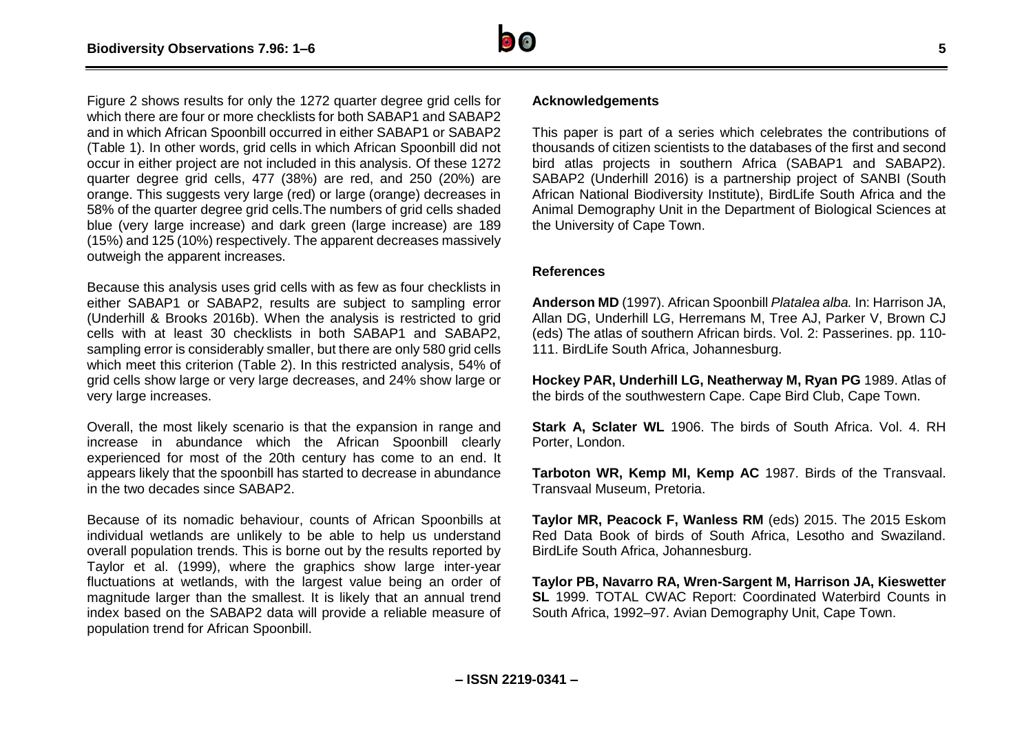

Figure 2 shows results for only the 1272 quarter degree grid cells for which there are four or more checklists for both SABAP1 and SABAP2 and in which African Spoonbill occurred in either SABAP1 or SABAP2 (Table 1). In other words, grid cells in which African Spoonbill did not occur in either project are not included in this analysis. Of these 1272 quarter degree grid cells, 477 (38%) are red, and 250 (20%) are orange. This suggests very large (red) or large (orange) decreases in 58% of the quarter degree grid cells.The numbers of grid cells shaded blue (very large increase) and dark green (large increase) are 189 (15%) and 125 (10%) respectively. The apparent decreases massively outweigh the apparent increases.

Because this analysis uses grid cells with as few as four checklists in either SABAP1 or SABAP2, results are subject to sampling error (Underhill & Brooks 2016b). When the analysis is restricted to grid cells with at least 30 checklists in both SABAP1 and SABAP2, sampling error is considerably smaller, but there are only 580 grid cells which meet this criterion (Table 2). In this restricted analysis, 54% of grid cells show large or very large decreases, and 24% show large or very large increases.

Overall, the most likely scenario is that the expansion in range and increase in abundance which the African Spoonbill clearly experienced for most of the 20th century has come to an end. It appears likely that the spoonbill has started to decrease in abundance in the two decades since SABAP2.

Because of its nomadic behaviour, counts of African Spoonbills at individual wetlands are unlikely to be able to help us understand overall population trends. This is borne out by the results reported by Taylor et al. (1999), where the graphics show large inter-year fluctuations at wetlands, with the largest value being an order of magnitude larger than the smallest. It is likely that an annual trend index based on the SABAP2 data will provide a reliable measure of population trend for African Spoonbill.

#### **Acknowledgements**

This paper is part of a series which celebrates the contributions of thousands of citizen scientists to the databases of the first and second bird atlas projects in southern Africa (SABAP1 and SABAP2). SABAP2 (Underhill 2016) is a partnership project of SANBI (South African National Biodiversity Institute), BirdLife South Africa and the Animal Demography Unit in the Department of Biological Sciences at the University of Cape Town.

#### **References**

**Anderson MD** (1997). African Spoonbill *Platalea alba.* In: Harrison JA, Allan DG, Underhill LG, Herremans M, Tree AJ, Parker V, Brown CJ (eds) The atlas of southern African birds. Vol. 2: Passerines. pp. 110- 111. BirdLife South Africa, Johannesburg.

**Hockey PAR, Underhill LG, Neatherway M, Ryan PG** 1989. Atlas of the birds of the southwestern Cape. Cape Bird Club, Cape Town.

**Stark A, Sclater WL** 1906. The birds of South Africa. Vol. 4. RH Porter, London.

**Tarboton WR, Kemp MI, Kemp AC** 1987. Birds of the Transvaal. Transvaal Museum, Pretoria.

**Taylor MR, Peacock F, Wanless RM** (eds) 2015. The 2015 Eskom Red Data Book of birds of South Africa, Lesotho and Swaziland. BirdLife South Africa, Johannesburg.

**Taylor PB, Navarro RA, Wren-Sargent M, Harrison JA, Kieswetter SL** 1999. TOTAL CWAC Report: Coordinated Waterbird Counts in South Africa, 1992–97. Avian Demography Unit, Cape Town.